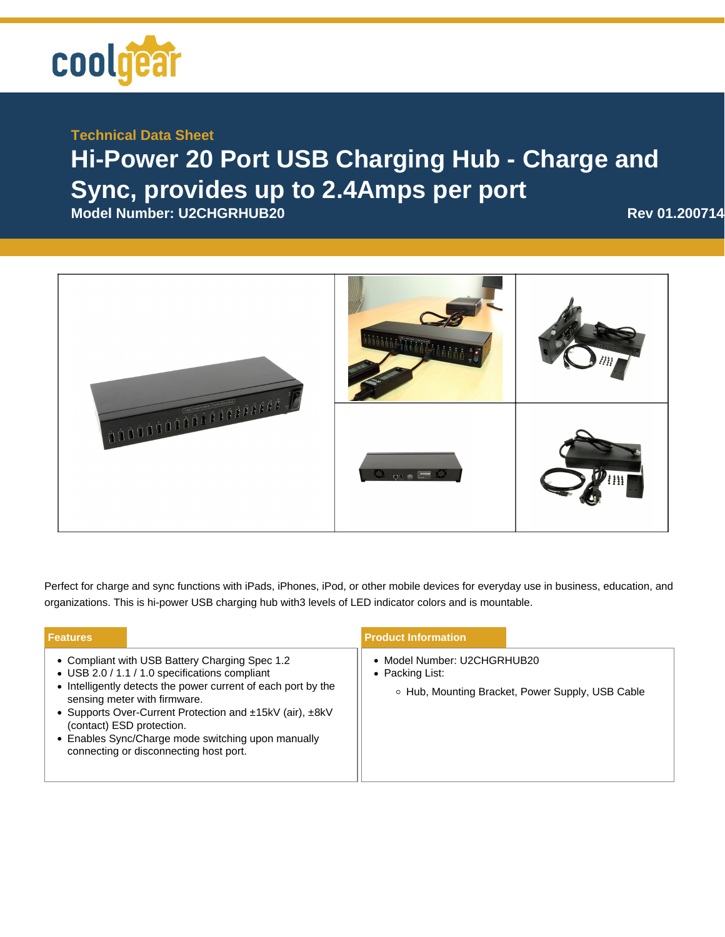

## **Technical Data Sheet**

## **Hi-Power 20 Port USB Charging Hub - Charge and Sync, provides up to 2.4Amps per port**

**Model Number: U2CHGRHUB20 Rev 01.200714** 



Perfect for charge and sync functions with iPads, iPhones, iPod, or other mobile devices for everyday use in business, education, and organizations. This is hi-power USB charging hub with3 levels of LED indicator colors and is mountable.

| <b>Features</b> |                                                                                                                                                                                                                                                                                                                                                                                            | <b>Product Information</b>                     |                                                  |
|-----------------|--------------------------------------------------------------------------------------------------------------------------------------------------------------------------------------------------------------------------------------------------------------------------------------------------------------------------------------------------------------------------------------------|------------------------------------------------|--------------------------------------------------|
|                 | • Compliant with USB Battery Charging Spec 1.2<br>• USB 2.0 / 1.1 / 1.0 specifications compliant<br>• Intelligently detects the power current of each port by the<br>sensing meter with firmware.<br>• Supports Over-Current Protection and ±15kV (air), ±8kV<br>(contact) ESD protection.<br>• Enables Sync/Charge mode switching upon manually<br>connecting or disconnecting host port. | • Model Number: U2CHGRHUB20<br>• Packing List: | ○ Hub, Mounting Bracket, Power Supply, USB Cable |